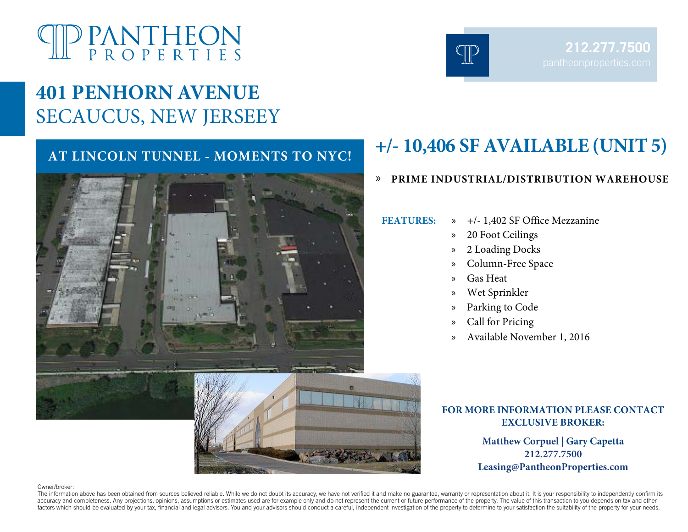# <sup>D</sup> PANTHEON<br>P R O P E R T I E S

# **401 PENHORN AVENUE** SECAUCUS, NEW JERSEEY



# **AT LINCOLN TUNNEL - MOMENTS TO NYC! +/- 10,406 SF AVAILABLE (UNIT 5)**

## » **PRIME INDUSTRIAL/DISTRIBUTION WAREHOUSE**

**FEATURES:** » +/- 1,402 SF Office Mezzanine

- - » 20 Foot Ceilings
	- » 2 Loading Docks
	- » Column-Free Space
	- » Gas Heat
	- » Wet Sprinkler
- » Parking to Code
- » Call for Pricing
- » Available November 1, 2016

## **FOR MORE INFORMATION PLEASE CONTACT EXCLUSIVE BROKER:**

**Matthew Corpuel | Gary Capetta 212.277.7500 Leasing@PantheonProperties.com** 

#### Owner/broker:

The information above has been obtained from sources believed reliable. While we do not doubt its accuracy, we have not verified it and make no guarantee, warranty or representation about it. It is your responsibility to i accuracy and completeness. Any projections, opinions, assumptions or estimates used are for example only and do not represent the current or future performance of the property. The value of this transaction to you depends factors which should be evaluated by your tax, financial and legal advisors. You and your advisors should conduct a careful, independent investigation of the property to determine to your satisfaction the suitability of th



**212.277.7500**